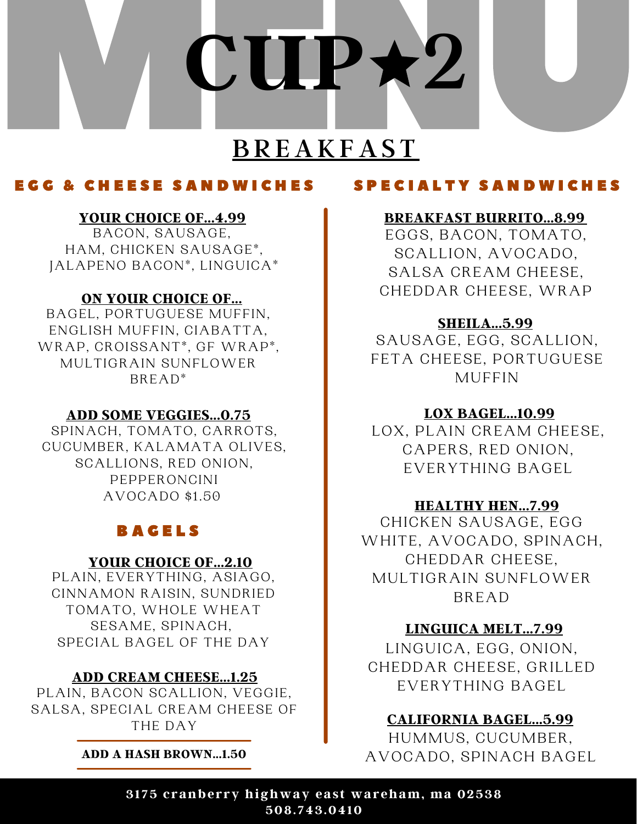

### E G G & C H E E S E S A N D W I C H E S

### **YOUR CHOICE OF...4.99**

BACON, SAUSAGE, HAM, CHICKEN SAUSAGE\*, JALAPENO BACON\*, LINGUICA\*

### **ON YOUR CHOICE OF...**

BAGEL, PORTUGUESE MUFFIN, ENGLISH MUFFIN, CIABATTA, WRAP, CROISSANT\*, GF WRAP\*, MULTIGRAIN SUNFLOWER BREAD\*

### **ADD SOME VEGGIES...0.75**

SPINACH, TOMATO, CARROTS, CUCUMBER, KALAMATA OLIVES, SCALLIONS, RED ONION, PEPPERONCINI AVOCADO \$1.50

### **BAGELS**

### **YOUR CHOICE OF...2.10**

PLAIN, EVERYTHING, ASIAGO, CINNAMON RAISIN, SUNDRIED TOMATO, WHOLE WHEAT SESAME, SPINACH, SPECIAL BAGEL OF THE DAY

### **ADD CREAM CHEESE...1.25**

PLAIN, BACON SCALLION, VEGGIE, SALSA, SPECIAL CREAM CHEESE OF THE DAY

**ADD A HASH BROWN...1.50**

### S P E C I A L T Y S A N D W I C H E S

### **BREAKFAST BURRITO...8.99**

EGGS, BACON, TOMATO, SCALLION, AVOCADO, SALSA CREAM CHEESE, CHEDDAR CHEESE, WRAP

### **SHEILA...5.99**

SAUSAGE, EGG, SCALLION, FETA CHEESE, PORTUGUESE MUFFIN

### **LOX BAGEL...10.99**

LOX, PLAIN CREAM CHEESE, CAPERS, RED ONION, EVERYTHING BAGEL

### **HEALTHY HEN...7.99**

CHICKEN SAUSAGE, EGG WHITE, AVOCADO, SPINACH, CHEDDAR CHEESE, MULTIGRAIN SUNFLOWER BREAD

### **LINGUICA MELT...7.99**

LINGUICA, EGG, ONION, CHEDDAR CHEESE, GRILLED EVERYTHING BAGEL

### **CALIFORNIA BAGEL...5.99**

HUMMUS, CUCUMBER, AVOCADO, SPINACH BAGEL

**3175 cranberry highway eas t wareham, ma 02538 508.743.0410**